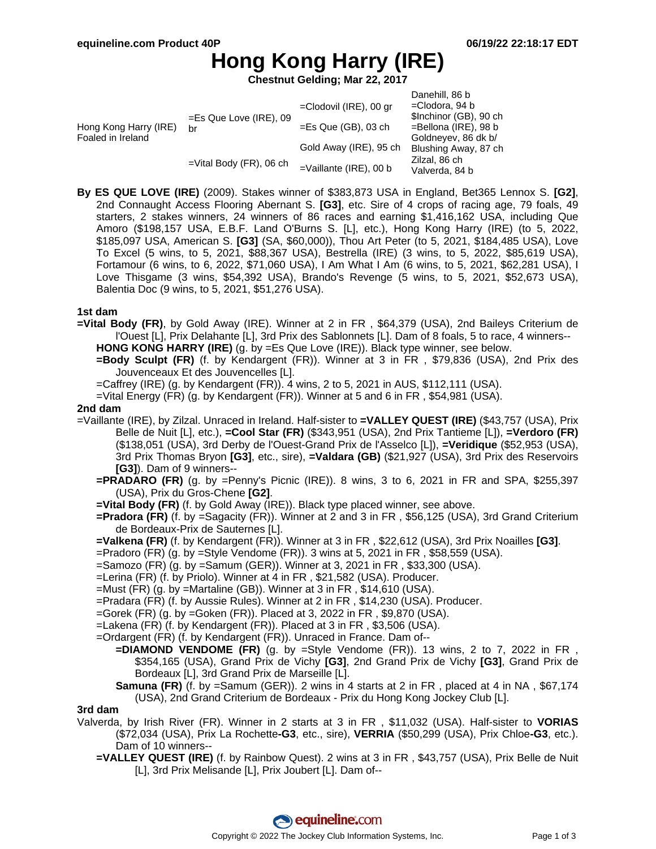# **Hong Kong Harry (IRE)**

**Chestnut Gelding; Mar 22, 2017**

|                                            |                                 |                           | Danehill, 86 b                                                                                                        |
|--------------------------------------------|---------------------------------|---------------------------|-----------------------------------------------------------------------------------------------------------------------|
| Hong Kong Harry (IRE)<br>Foaled in Ireland | $=$ Es Que Love (IRE), 09<br>br | $=$ Clodovil (IRE), 00 gr | $=$ Clodora, 94 b<br>\$Inchinor (GB), 90 ch<br>$=$ Bellona (IRE), 98 b<br>Goldneyev, 86 dk b/<br>Blushing Away, 87 ch |
|                                            |                                 | $=$ Es Que (GB), 03 ch    |                                                                                                                       |
|                                            |                                 | Gold Away (IRE), 95 ch    |                                                                                                                       |
|                                            | $=$ Vital Body (FR), 06 ch      | $=$ Vaillante (IRE), 00 b | Zilzal, 86 ch<br>Valverda, 84 b                                                                                       |

**By ES QUE LOVE (IRE)** (2009). Stakes winner of \$383,873 USA in England, Bet365 Lennox S. **[G2]**, 2nd Connaught Access Flooring Abernant S. **[G3]**, etc. Sire of 4 crops of racing age, 79 foals, 49 starters, 2 stakes winners, 24 winners of 86 races and earning \$1,416,162 USA, including Que Amoro (\$198,157 USA, E.B.F. Land O'Burns S. [L], etc.), Hong Kong Harry (IRE) (to 5, 2022, \$185,097 USA, American S. **[G3]** (SA, \$60,000)), Thou Art Peter (to 5, 2021, \$184,485 USA), Love To Excel (5 wins, to 5, 2021, \$88,367 USA), Bestrella (IRE) (3 wins, to 5, 2022, \$85,619 USA), Fortamour (6 wins, to 6, 2022, \$71,060 USA), I Am What I Am (6 wins, to 5, 2021, \$62,281 USA), I Love Thisgame (3 wins, \$54,392 USA), Brando's Revenge (5 wins, to 5, 2021, \$52,673 USA), Balentia Doc (9 wins, to 5, 2021, \$51,276 USA).

### **1st dam**

- **=Vital Body (FR)**, by Gold Away (IRE). Winner at 2 in FR , \$64,379 (USA), 2nd Baileys Criterium de l'Ouest [L], Prix Delahante [L], 3rd Prix des Sablonnets [L]. Dam of 8 foals, 5 to race, 4 winners-- **HONG KONG HARRY (IRE)** (g. by =Es Que Love (IRE)). Black type winner, see below.
	- **=Body Sculpt (FR)** (f. by Kendargent (FR)). Winner at 3 in FR , \$79,836 (USA), 2nd Prix des Jouvenceaux Et des Jouvencelles [L].
	- $=$ Caffrey (IRE) (g. by Kendargent (FR)). 4 wins, 2 to 5, 2021 in AUS, \$112,111 (USA).
	- =Vital Energy (FR) (g. by Kendargent (FR)). Winner at 5 and 6 in FR , \$54,981 (USA).

#### **2nd dam**

- =Vaillante (IRE), by Zilzal. Unraced in Ireland. Half-sister to **=VALLEY QUEST (IRE)** (\$43,757 (USA), Prix Belle de Nuit [L], etc.), **=Cool Star (FR)** (\$343,951 (USA), 2nd Prix Tantieme [L]), **=Verdoro (FR)** (\$138,051 (USA), 3rd Derby de l'Ouest-Grand Prix de l'Asselco [L]), **=Veridique** (\$52,953 (USA), 3rd Prix Thomas Bryon **[G3]**, etc., sire), **=Valdara (GB)** (\$21,927 (USA), 3rd Prix des Reservoirs **[G3]**). Dam of 9 winners--
	- **=PRADARO (FR)** (g. by =Penny's Picnic (IRE)). 8 wins, 3 to 6, 2021 in FR and SPA, \$255,397 (USA), Prix du Gros-Chene **[G2]**.
	- **=Vital Body (FR)** (f. by Gold Away (IRE)). Black type placed winner, see above.
	- **=Pradora (FR)** (f. by =Sagacity (FR)). Winner at 2 and 3 in FR , \$56,125 (USA), 3rd Grand Criterium de Bordeaux-Prix de Sauternes [L].
	- **=Valkena (FR)** (f. by Kendargent (FR)). Winner at 3 in FR , \$22,612 (USA), 3rd Prix Noailles **[G3]**.
	- =Pradoro (FR) (g. by =Style Vendome (FR)). 3 wins at 5, 2021 in FR , \$58,559 (USA).
	- =Samozo (FR) (g. by =Samum (GER)). Winner at 3, 2021 in FR , \$33,300 (USA).
	- =Lerina (FR) (f. by Priolo). Winner at 4 in FR , \$21,582 (USA). Producer.
	- =Must (FR) (g. by =Martaline (GB)). Winner at 3 in FR , \$14,610 (USA).
	- =Pradara (FR) (f. by Aussie Rules). Winner at 2 in FR , \$14,230 (USA). Producer.
	- =Gorek (FR) (g. by =Goken (FR)). Placed at 3, 2022 in FR , \$9,870 (USA).
	- =Lakena (FR) (f. by Kendargent (FR)). Placed at 3 in FR , \$3,506 (USA).
	- =Ordargent (FR) (f. by Kendargent (FR)). Unraced in France. Dam of--
		- **=DIAMOND VENDOME (FR)** (g. by =Style Vendome (FR)). 13 wins, 2 to 7, 2022 in FR , \$354,165 (USA), Grand Prix de Vichy **[G3]**, 2nd Grand Prix de Vichy **[G3]**, Grand Prix de Bordeaux [L], 3rd Grand Prix de Marseille [L].
		- **Samuna (FR)** (f. by =Samum (GER)). 2 wins in 4 starts at 2 in FR, placed at 4 in NA, \$67,174 (USA), 2nd Grand Criterium de Bordeaux - Prix du Hong Kong Jockey Club [L].

#### **3rd dam**

- Valverda, by Irish River (FR). Winner in 2 starts at 3 in FR , \$11,032 (USA). Half-sister to **VORIAS** (\$72,034 (USA), Prix La Rochette**-G3**, etc., sire), **VERRIA** (\$50,299 (USA), Prix Chloe**-G3**, etc.). Dam of 10 winners--
	- **=VALLEY QUEST (IRE)** (f. by Rainbow Quest). 2 wins at 3 in FR , \$43,757 (USA), Prix Belle de Nuit [L], 3rd Prix Melisande [L], Prix Joubert [L]. Dam of--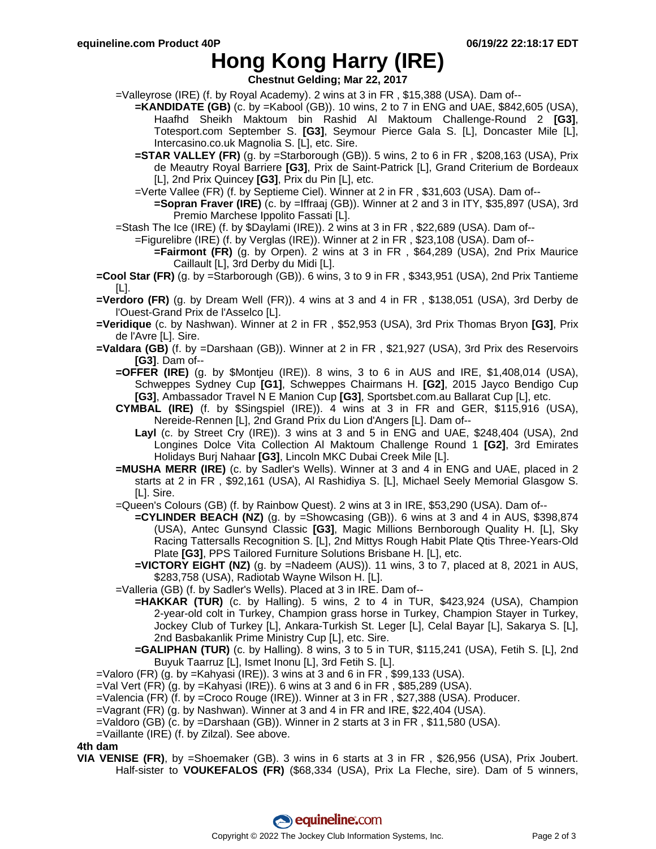## **Hong Kong Harry (IRE)**

**Chestnut Gelding; Mar 22, 2017**

- =Valleyrose (IRE) (f. by Royal Academy). 2 wins at 3 in FR , \$15,388 (USA). Dam of--
	- **=KANDIDATE (GB)** (c. by =Kabool (GB)). 10 wins, 2 to 7 in ENG and UAE, \$842,605 (USA), Haafhd Sheikh Maktoum bin Rashid Al Maktoum Challenge-Round 2 **[G3]**, Totesport.com September S. **[G3]**, Seymour Pierce Gala S. [L], Doncaster Mile [L], Intercasino.co.uk Magnolia S. [L], etc. Sire.
		- **=STAR VALLEY (FR)** (g. by =Starborough (GB)). 5 wins, 2 to 6 in FR , \$208,163 (USA), Prix de Meautry Royal Barriere **[G3]**, Prix de Saint-Patrick [L], Grand Criterium de Bordeaux [L], 2nd Prix Quincey **[G3]**, Prix du Pin [L], etc.
		- =Verte Vallee (FR) (f. by Septieme Ciel). Winner at 2 in FR , \$31,603 (USA). Dam of--
			- **=Sopran Fraver (IRE)** (c. by =Iffraaj (GB)). Winner at 2 and 3 in ITY, \$35,897 (USA), 3rd Premio Marchese Ippolito Fassati [L].
- =Stash The Ice (IRE) (f. by \$Daylami (IRE)). 2 wins at 3 in FR , \$22,689 (USA). Dam of--
	- =Figurelibre (IRE) (f. by Verglas (IRE)). Winner at 2 in FR , \$23,108 (USA). Dam of--
		- **=Fairmont (FR)** (g. by Orpen). 2 wins at 3 in FR , \$64,289 (USA), 2nd Prix Maurice Caillault [L], 3rd Derby du Midi [L].
- **=Cool Star (FR)** (g. by =Starborough (GB)). 6 wins, 3 to 9 in FR , \$343,951 (USA), 2nd Prix Tantieme [L].
- **=Verdoro (FR)** (g. by Dream Well (FR)). 4 wins at 3 and 4 in FR , \$138,051 (USA), 3rd Derby de l'Ouest-Grand Prix de l'Asselco [L].
- **=Veridique** (c. by Nashwan). Winner at 2 in FR , \$52,953 (USA), 3rd Prix Thomas Bryon **[G3]**, Prix de l'Avre [L]. Sire.
- **=Valdara (GB)** (f. by =Darshaan (GB)). Winner at 2 in FR , \$21,927 (USA), 3rd Prix des Reservoirs **[G3]**. Dam of--
	- **=OFFER (IRE)** (g. by \$Montjeu (IRE)). 8 wins, 3 to 6 in AUS and IRE, \$1,408,014 (USA), Schweppes Sydney Cup **[G1]**, Schweppes Chairmans H. **[G2]**, 2015 Jayco Bendigo Cup **[G3]**, Ambassador Travel N E Manion Cup **[G3]**, Sportsbet.com.au Ballarat Cup [L], etc.
	- **CYMBAL (IRE)** (f. by \$Singspiel (IRE)). 4 wins at 3 in FR and GER, \$115,916 (USA), Nereide-Rennen [L], 2nd Grand Prix du Lion d'Angers [L]. Dam of--
		- **Layl** (c. by Street Cry (IRE)). 3 wins at 3 and 5 in ENG and UAE, \$248,404 (USA), 2nd Longines Dolce Vita Collection Al Maktoum Challenge Round 1 **[G2]**, 3rd Emirates Holidays Burj Nahaar **[G3]**, Lincoln MKC Dubai Creek Mile [L].
	- **=MUSHA MERR (IRE)** (c. by Sadler's Wells). Winner at 3 and 4 in ENG and UAE, placed in 2 starts at 2 in FR , \$92,161 (USA), Al Rashidiya S. [L], Michael Seely Memorial Glasgow S. [L]. Sire.
	- =Queen's Colours (GB) (f. by Rainbow Quest). 2 wins at 3 in IRE, \$53,290 (USA). Dam of--
		- **=CYLINDER BEACH (NZ)** (g. by =Showcasing (GB)). 6 wins at 3 and 4 in AUS, \$398,874 (USA), Antec Gunsynd Classic **[G3]**, Magic Millions Bernborough Quality H. [L], Sky Racing Tattersalls Recognition S. [L], 2nd Mittys Rough Habit Plate Qtis Three-Years-Old Plate **[G3]**, PPS Tailored Furniture Solutions Brisbane H. [L], etc.
		- **=VICTORY EIGHT (NZ)** (g. by =Nadeem (AUS)). 11 wins, 3 to 7, placed at 8, 2021 in AUS, \$283,758 (USA), Radiotab Wayne Wilson H. [L].
	- =Valleria (GB) (f. by Sadler's Wells). Placed at 3 in IRE. Dam of--
		- **=HAKKAR (TUR)** (c. by Halling). 5 wins, 2 to 4 in TUR, \$423,924 (USA), Champion 2-year-old colt in Turkey, Champion grass horse in Turkey, Champion Stayer in Turkey, Jockey Club of Turkey [L], Ankara-Turkish St. Leger [L], Celal Bayar [L], Sakarya S. [L], 2nd Basbakanlik Prime Ministry Cup [L], etc. Sire.
		- **=GALIPHAN (TUR)** (c. by Halling). 8 wins, 3 to 5 in TUR, \$115,241 (USA), Fetih S. [L], 2nd Buyuk Taarruz [L], Ismet Inonu [L], 3rd Fetih S. [L].
- =Valoro (FR) (g. by =Kahyasi (IRE)). 3 wins at 3 and 6 in FR , \$99,133 (USA).
- $=$ Val Vert (FR) (g. by  $=$ Kahyasi (IRE)). 6 wins at 3 and 6 in FR, \$85,289 (USA).
- =Valencia (FR) (f. by =Croco Rouge (IRE)). Winner at 3 in FR , \$27,388 (USA). Producer.
- =Vagrant (FR) (g. by Nashwan). Winner at 3 and 4 in FR and IRE, \$22,404 (USA).
- =Valdoro (GB) (c. by =Darshaan (GB)). Winner in 2 starts at 3 in FR , \$11,580 (USA).
- =Vaillante (IRE) (f. by Zilzal). See above.

### **4th dam**

**VIA VENISE (FR)**, by =Shoemaker (GB). 3 wins in 6 starts at 3 in FR , \$26,956 (USA), Prix Joubert. Half-sister to **VOUKEFALOS (FR)** (\$68,334 (USA), Prix La Fleche, sire). Dam of 5 winners,